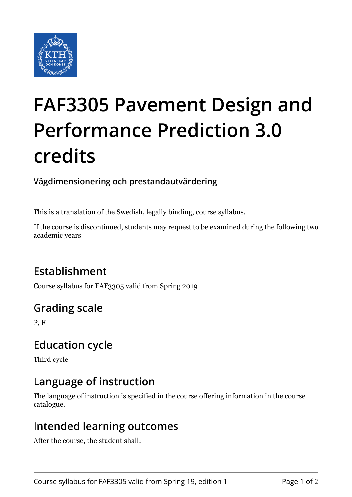

# **FAF3305 Pavement Design and Performance Prediction 3.0 credits**

**Vägdimensionering och prestandautvärdering**

This is a translation of the Swedish, legally binding, course syllabus.

If the course is discontinued, students may request to be examined during the following two academic years

## **Establishment**

Course syllabus for FAF3305 valid from Spring 2019

## **Grading scale**

P, F

### **Education cycle**

Third cycle

### **Language of instruction**

The language of instruction is specified in the course offering information in the course catalogue.

#### **Intended learning outcomes**

After the course, the student shall: